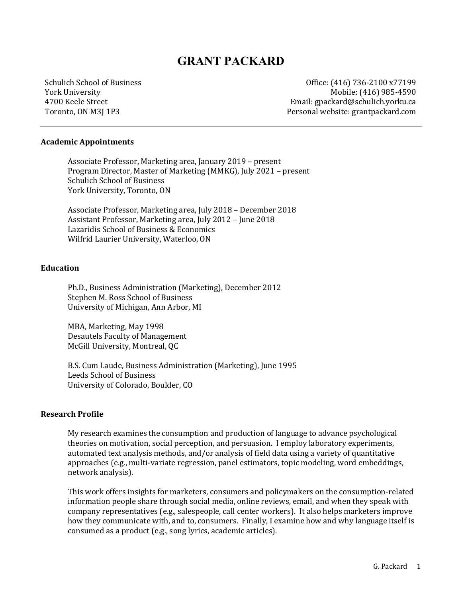# **GRANT PACKARD**

Schulich School of Business York University 4700 Keele Street Toronto, ON M3J 1P3

Office: (416) 736-2100 x77199 Mobile: (416) 985-4590 Email: gpackard@schulich.yorku.ca Personal website: grantpackard.com

#### **Academic Appointments**

Associate Professor, Marketing area, January 2019 – present Program Director, Master of Marketing (MMKG), July 2021 - present Schulich School of Business York University, Toronto, ON

Associate Professor, Marketing area, July 2018 - December 2018 Assistant Professor, Marketing area, July 2012 - June 2018 Lazaridis School of Business & Economics Wilfrid Laurier University, Waterloo, ON

#### **Education**

Ph.D., Business Administration (Marketing), December 2012 Stephen M. Ross School of Business University of Michigan, Ann Arbor, MI

MBA, Marketing, May 1998 Desautels Faculty of Management McGill University, Montreal, QC

B.S. Cum Laude, Business Administration (Marketing), June 1995 Leeds School of Business University of Colorado, Boulder, CO

#### **Research Profile**

My research examines the consumption and production of language to advance psychological theories on motivation, social perception, and persuasion. I employ laboratory experiments, automated text analysis methods, and/or analysis of field data using a variety of quantitative approaches (e.g., multi-variate regression, panel estimators, topic modeling, word embeddings, network analysis).

This work offers insights for marketers, consumers and policymakers on the consumption-related information people share through social media, online reviews, email, and when they speak with company representatives (e.g., salespeople, call center workers). It also helps marketers improve how they communicate with, and to, consumers. Finally, I examine how and why language itself is consumed as a product (e.g., song lyrics, academic articles).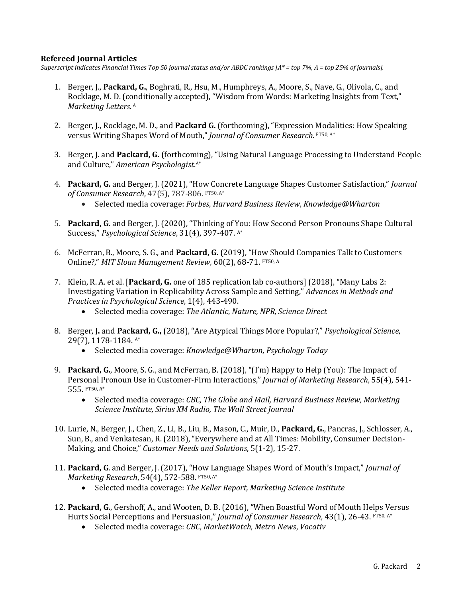# **Refereed Journal Articles**

*Superscript* indicates Financial Times Top 50 journal status and/or ABDC rankings [A\* = top 7%, A = top 25% of journals].

- 1. Berger, J., Packard, G., Boghrati, R., Hsu, M., Humphreys, A., Moore, S., Nave, G., Olivola, C., and Rocklage, M. D. (conditionally accepted), "Wisdom from Words: Marketing Insights from Text," *Marketing Letters*. <sup>A</sup>
- 2. Berger, J., Rocklage, M. D., and **Packard G.** (forthcoming), "Expression Modalities: How Speaking versus Writing Shapes Word of Mouth," *Journal of Consumer Research*. FT50, A\*
- 3. Berger, J. and **Packard, G.** (forthcoming), "Using Natural Language Processing to Understand People and Culture," American Psychologist.<sup>A\*</sup>
- 4. **Packard, G.** and Berger, J. (2021), "How Concrete Language Shapes Customer Satisfaction," *Journal* of Consumer Research, 47(5), 787-806. FT50, A\*
	- Selected media coverage: *Forbes*, *Harvard Business Review*, *Knowledge@Wharton*
- 5. Packard, G. and Berger, J. (2020), "Thinking of You: How Second Person Pronouns Shape Cultural Success," Psychological Science, 31(4), 397-407. A\*
- 6. McFerran, B., Moore, S. G., and Packard, G. (2019), "How Should Companies Talk to Customers Online?," MIT Sloan Management Review, 60(2), 68-71. FT50, A
- 7. Klein, R. A. et al. [Packard, G. one of 185 replication lab co-authors] (2018), "Many Labs 2: Investigating Variation in Replicability Across Sample and Setting," *Advances in Methods and Practices in Psychological Science*, 1(4), 443-490.
	- Selected media coverage: *The Atlantic*, *Nature, NPR, Science Direct*
- 8. Berger, J. and Packard, G., (2018), "Are Atypical Things More Popular?," *Psychological Science*, 29(7), 1178-1184. A\*
	- Selected media coverage: *Knowledge@Wharton, Psychology Today*
- 9. Packard, G., Moore, S. G., and McFerran, B. (2018), "(I'm) Happy to Help (You): The Impact of Personal Pronoun Use in Customer-Firm Interactions," *Journal of Marketing Research*, 55(4), 541-555. FT50, A\*
	- Selected media coverage: *CBC, The Globe and Mail, Harvard Business Review, Marketing Science Institute, Sirius XM Radio, The Wall Street Journal*
- 10. Lurie, N., Berger, J., Chen, Z., Li, B., Liu, B., Mason, C., Muir, D., Packard, G., Pancras, J., Schlosser, A., Sun, B., and Venkatesan, R. (2018), "Everywhere and at All Times: Mobility, Consumer Decision-Making, and Choice," *Customer Needs and Solutions*, 5(1-2), 15-27.
- 11. Packard, G. and Berger, J. (2017), "How Language Shapes Word of Mouth's Impact," *Journal of Marketing Research*, 54(4), 572-588. FT50, A\*
	- Selected media coverage: *The Keller Report, Marketing Science Institute*
- 12. **Packard, G.**, Gershoff, A., and Wooten, D. B. (2016), "When Boastful Word of Mouth Helps Versus Hurts Social Perceptions and Persuasion," *Journal of Consumer Research*, 43(1), 26-43. FT50, A\*
	- Selected media coverage: *CBC*, *MarketWatch*, *Metro News*, *Vocativ*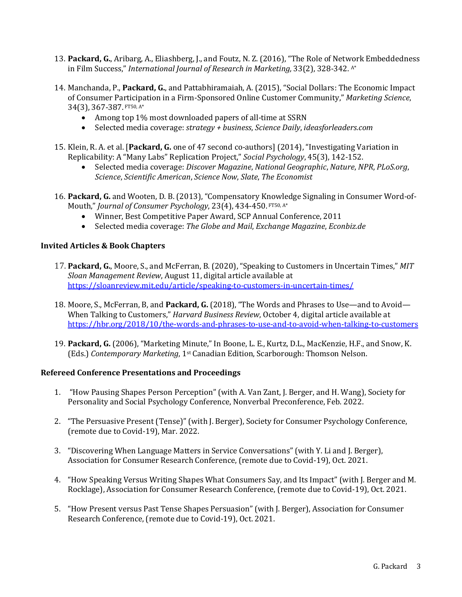- 13. Packard, G., Aribarg, A., Eliashberg, J., and Foutz, N. Z. (2016), "The Role of Network Embeddedness in Film Success," *International Journal of Research in Marketing*, 33(2), 328-342. A\*
- 14. Manchanda, P., Packard, G., and Pattabhiramaiah, A. (2015), "Social Dollars: The Economic Impact of Consumer Participation in a Firm-Sponsored Online Customer Community," Marketing Science, 34(3), 367-387. FT50, A\*
	- Among top 1% most downloaded papers of all-time at SSRN
	- Selected media coverage: *strategy* + *business*, *Science Daily*, *ideasforleaders.com*
- 15. Klein, R. A. et al. [Packard, G. one of 47 second co-authors] (2014), "Investigating Variation in Replicability: A "Many Labs" Replication Project," *Social Psychology*, 45(3), 142-152.
	- Selected media coverage: *Discover Magazine*, *National Geographic*, *Nature*, *NPR*, *PLoS.org*, *Science*, *Scientific American*, *Science Now*, *Slate*, *The Economist*
- 16. Packard, G. and Wooten, D. B. (2013), "Compensatory Knowledge Signaling in Consumer Word-of-Mouth," Journal of Consumer Psychology, 23(4), 434-450. FT50, A\*
	- Winner, Best Competitive Paper Award, SCP Annual Conference, 2011
	- Selected media coverage: *The Globe and Mail, Exchange Magazine, Econbiz.de*

# **Invited Articles & Book Chapters**

- 17. Packard, G., Moore, S., and McFerran, B. (2020), "Speaking to Customers in Uncertain Times," *MIT Sloan Management Review*, August 11, digital article available at https://sloanreview.mit.edu/article/speaking-to-customers-in-uncertain-times/
- 18. Moore, S., McFerran, B, and Packard, G. (2018), "The Words and Phrases to Use—and to Avoid— When Talking to Customers," *Harvard Business Review*, October 4, digital article available at https://hbr.org/2018/10/the-words-and-phrases-to-use-and-to-avoid-when-talking-to-customers
- 19. Packard, G. (2006), "Marketing Minute," In Boone, L. E., Kurtz, D.L., MacKenzie, H.F., and Snow, K. (Eds.) Contemporary Marketing, 1<sup>st</sup> Canadian Edition, Scarborough: Thomson Nelson.

# **Refereed Conference Presentations and Proceedings**

- 1. "How Pausing Shapes Person Perception" (with A. Van Zant, J. Berger, and H. Wang), Society for Personality and Social Psychology Conference, Nonverbal Preconference, Feb. 2022.
- 2. "The Persuasive Present (Tense)" (with J. Berger), Society for Consumer Psychology Conference, (remote due to Covid-19), Mar. 2022.
- 3. "Discovering When Language Matters in Service Conversations" (with Y. Li and J. Berger), Association for Consumer Research Conference, (remote due to Covid-19), Oct. 2021.
- 4. "How Speaking Versus Writing Shapes What Consumers Say, and Its Impact" (with J. Berger and M. Rocklage), Association for Consumer Research Conference, (remote due to Covid-19), Oct. 2021.
- 5. "How Present versus Past Tense Shapes Persuasion" (with J. Berger), Association for Consumer Research Conference, (remote due to Covid-19), Oct. 2021.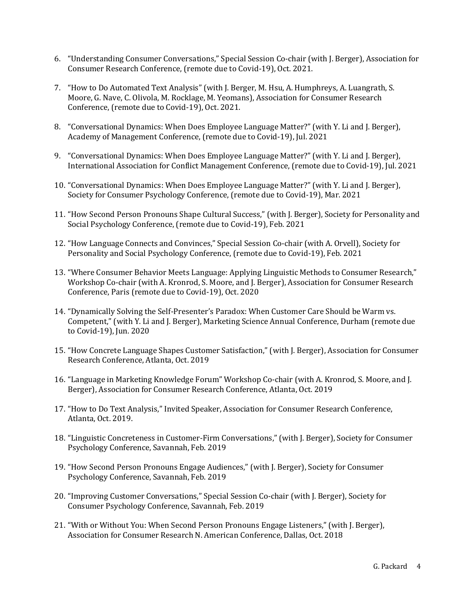- 6. "Understanding Consumer Conversations," Special Session Co-chair (with J. Berger), Association for Consumer Research Conference, (remote due to Covid-19), Oct. 2021.
- 7. "How to Do Automated Text Analysis" (with J. Berger, M. Hsu, A. Humphreys, A. Luangrath, S. Moore, G. Nave, C. Olivola, M. Rocklage, M. Yeomans), Association for Consumer Research Conference, (remote due to Covid-19), Oct. 2021.
- 8. "Conversational Dynamics: When Does Employee Language Matter?" (with Y. Li and J. Berger), Academy of Management Conference, (remote due to Covid-19), Jul. 2021
- 9. "Conversational Dynamics: When Does Employee Language Matter?" (with Y. Li and J. Berger), International Association for Conflict Management Conference, (remote due to Covid-19), Jul. 2021
- 10. "Conversational Dynamics: When Does Employee Language Matter?" (with Y. Li and J. Berger), Society for Consumer Psychology Conference, (remote due to Covid-19), Mar. 2021
- 11. "How Second Person Pronouns Shape Cultural Success," (with J. Berger), Society for Personality and Social Psychology Conference, (remote due to Covid-19), Feb. 2021
- 12. "How Language Connects and Convinces," Special Session Co-chair (with A. Orvell), Society for Personality and Social Psychology Conference, (remote due to Covid-19), Feb. 2021
- 13. "Where Consumer Behavior Meets Language: Applying Linguistic Methods to Consumer Research," Workshop Co-chair (with A. Kronrod, S. Moore, and J. Berger), Association for Consumer Research Conference, Paris (remote due to Covid-19), Oct. 2020
- 14. "Dynamically Solving the Self-Presenter's Paradox: When Customer Care Should be Warm vs. Competent," (with Y. Li and J. Berger), Marketing Science Annual Conference, Durham (remote due to Covid-19), Jun. 2020
- 15. "How Concrete Language Shapes Customer Satisfaction," (with J. Berger), Association for Consumer Research Conference, Atlanta, Oct. 2019
- 16. "Language in Marketing Knowledge Forum" Workshop Co-chair (with A. Kronrod, S. Moore, and J. Berger), Association for Consumer Research Conference, Atlanta, Oct. 2019
- 17. "How to Do Text Analysis," Invited Speaker, Association for Consumer Research Conference, Atlanta, Oct. 2019.
- 18. "Linguistic Concreteness in Customer-Firm Conversations," (with J. Berger), Society for Consumer Psychology Conference, Savannah, Feb. 2019
- 19. "How Second Person Pronouns Engage Audiences," (with J. Berger), Society for Consumer Psychology Conference, Savannah, Feb. 2019
- 20. "Improving Customer Conversations," Special Session Co-chair (with J. Berger), Society for Consumer Psychology Conference, Savannah, Feb. 2019
- 21. "With or Without You: When Second Person Pronouns Engage Listeners," (with J. Berger), Association for Consumer Research N. American Conference, Dallas, Oct. 2018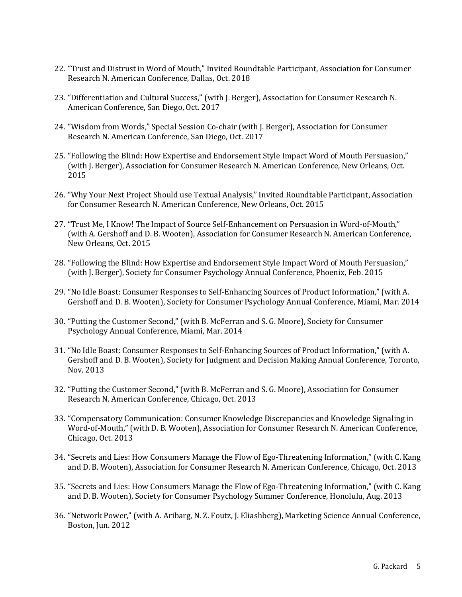- 22. "Trust and Distrust in Word of Mouth," Invited Roundtable Participant, Association for Consumer Research N. American Conference, Dallas, Oct. 2018
- 23. "Differentiation and Cultural Success," (with J. Berger), Association for Consumer Research N. American Conference, San Diego, Oct. 2017
- 24. "Wisdom from Words," Special Session Co-chair (with J. Berger), Association for Consumer Research N. American Conference, San Diego, Oct. 2017
- 25. "Following the Blind: How Expertise and Endorsement Style Impact Word of Mouth Persuasion," (with J. Berger), Association for Consumer Research N. American Conference, New Orleans, Oct. 2015
- 26. "Why Your Next Project Should use Textual Analysis," Invited Roundtable Participant, Association for Consumer Research N. American Conference, New Orleans, Oct. 2015
- 27. "Trust Me, I Know! The Impact of Source Self-Enhancement on Persuasion in Word-of-Mouth," (with A. Gershoff and D. B. Wooten), Association for Consumer Research N. American Conference, New Orleans, Oct. 2015
- 28. "Following the Blind: How Expertise and Endorsement Style Impact Word of Mouth Persuasion," (with J. Berger), Society for Consumer Psychology Annual Conference, Phoenix, Feb. 2015
- 29. "No Idle Boast: Consumer Responses to Self-Enhancing Sources of Product Information," (with A. Gershoff and D. B. Wooten), Society for Consumer Psychology Annual Conference, Miami, Mar. 2014
- 30. "Putting the Customer Second," (with B. McFerran and S. G. Moore), Society for Consumer Psychology Annual Conference, Miami, Mar. 2014
- 31. "No Idle Boast: Consumer Responses to Self-Enhancing Sources of Product Information," (with A. Gershoff and D. B. Wooten), Society for Judgment and Decision Making Annual Conference, Toronto, Nov. 2013
- 32. "Putting the Customer Second," (with B. McFerran and S. G. Moore), Association for Consumer Research N. American Conference, Chicago, Oct. 2013
- 33. "Compensatory Communication: Consumer Knowledge Discrepancies and Knowledge Signaling in Word-of-Mouth," (with D. B. Wooten), Association for Consumer Research N. American Conference, Chicago, Oct. 2013
- 34. "Secrets and Lies: How Consumers Manage the Flow of Ego-Threatening Information," (with C. Kang and D. B. Wooten), Association for Consumer Research N. American Conference, Chicago, Oct. 2013
- 35. "Secrets and Lies: How Consumers Manage the Flow of Ego-Threatening Information," (with C. Kang and D. B. Wooten), Society for Consumer Psychology Summer Conference, Honolulu, Aug. 2013
- 36. "Network Power," (with A. Aribarg, N. Z. Foutz, J. Eliashberg), Marketing Science Annual Conference, Boston, Jun. 2012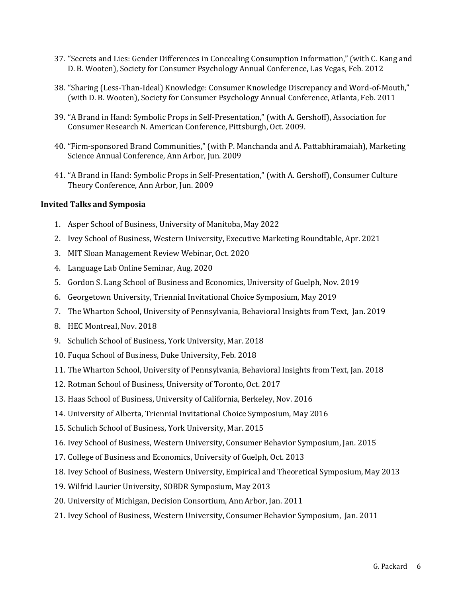- 37. "Secrets and Lies: Gender Differences in Concealing Consumption Information," (with C. Kang and D. B. Wooten), Society for Consumer Psychology Annual Conference, Las Vegas, Feb. 2012
- 38. "Sharing (Less-Than-Ideal) Knowledge: Consumer Knowledge Discrepancy and Word-of-Mouth," (with D. B. Wooten), Society for Consumer Psychology Annual Conference, Atlanta, Feb. 2011
- 39. "A Brand in Hand: Symbolic Props in Self-Presentation," (with A. Gershoff), Association for Consumer Research N. American Conference, Pittsburgh, Oct. 2009.
- 40. "Firm-sponsored Brand Communities," (with P. Manchanda and A. Pattabhiramaiah), Marketing Science Annual Conference, Ann Arbor, Jun. 2009
- 41. "A Brand in Hand: Symbolic Props in Self-Presentation," (with A. Gershoff), Consumer Culture Theory Conference, Ann Arbor, Jun. 2009

#### **Invited Talks and Symposia**

- 1. Asper School of Business, University of Manitoba, May 2022
- 2. Ivey School of Business, Western University, Executive Marketing Roundtable, Apr. 2021
- 3. MIT Sloan Management Review Webinar, Oct. 2020
- 4. Language Lab Online Seminar, Aug. 2020
- 5. Gordon S. Lang School of Business and Economics, University of Guelph, Nov. 2019
- 6. Georgetown University, Triennial Invitational Choice Symposium, May 2019
- 7. The Wharton School, University of Pennsylvania, Behavioral Insights from Text, Jan. 2019
- 8. HEC Montreal, Nov. 2018
- 9. Schulich School of Business, York University, Mar. 2018
- 10. Fuqua School of Business, Duke University, Feb. 2018
- 11. The Wharton School, University of Pennsylvania, Behavioral Insights from Text, Jan. 2018
- 12. Rotman School of Business, University of Toronto, Oct. 2017
- 13. Haas School of Business, University of California, Berkeley, Nov. 2016
- 14. University of Alberta, Triennial Invitational Choice Symposium, May 2016
- 15. Schulich School of Business, York University, Mar. 2015
- 16. Ivey School of Business, Western University, Consumer Behavior Symposium, Jan. 2015
- 17. College of Business and Economics, University of Guelph, Oct. 2013
- 18. Ivey School of Business, Western University, Empirical and Theoretical Symposium, May 2013
- 19. Wilfrid Laurier University, SOBDR Symposium, May 2013
- 20. University of Michigan, Decision Consortium, Ann Arbor, Jan. 2011
- 21. Ivey School of Business, Western University, Consumer Behavior Symposium, Jan. 2011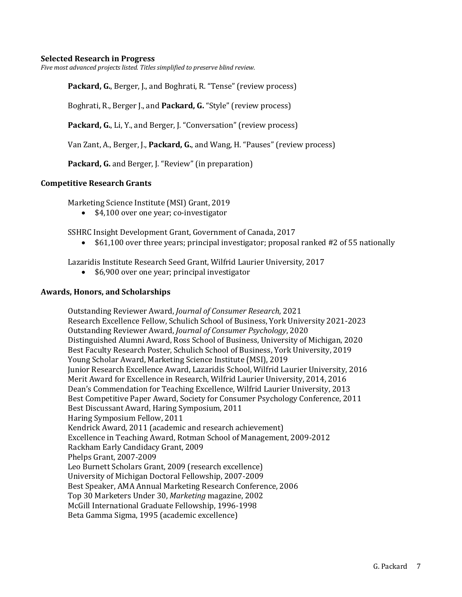#### **Selected Research in Progress**

*Five most advanced projects listed. Titles simplified to preserve blind review.* 

**Packard, G.**, Berger, J., and Boghrati, R. "Tense" (review process)

Boghrati, R., Berger J., and **Packard, G.** "Style" (review process)

**Packard, G.,** Li, Y., and Berger, J. "Conversation" (review process)

Van Zant, A., Berger, J., Packard, G., and Wang, H. "Pauses" (review process)

Packard, G. and Berger, J. "Review" (in preparation)

#### **Competitive Research Grants**

Marketing Science Institute (MSI) Grant, 2019

•  $$4,100$  over one year; co-investigator

SSHRC Insight Development Grant, Government of Canada, 2017

• \$61,100 over three years; principal investigator; proposal ranked #2 of 55 nationally

Lazaridis Institute Research Seed Grant, Wilfrid Laurier University, 2017

• \$6,900 over one year; principal investigator

#### **Awards, Honors, and Scholarships**

Outstanding Reviewer Award, *Journal of Consumer Research*, 2021 Research Excellence Fellow, Schulich School of Business, York University 2021-2023 Outstanding Reviewer Award, *Journal of Consumer Psychology*, 2020 Distinguished Alumni Award, Ross School of Business, University of Michigan, 2020 Best Faculty Research Poster, Schulich School of Business, York University, 2019 Young Scholar Award, Marketing Science Institute (MSI), 2019 Junior Research Excellence Award, Lazaridis School, Wilfrid Laurier University, 2016 Merit Award for Excellence in Research, Wilfrid Laurier University, 2014, 2016 Dean's Commendation for Teaching Excellence, Wilfrid Laurier University, 2013 Best Competitive Paper Award, Society for Consumer Psychology Conference, 2011 Best Discussant Award, Haring Symposium, 2011 Haring Symposium Fellow, 2011 Kendrick Award, 2011 (academic and research achievement) Excellence in Teaching Award, Rotman School of Management, 2009-2012 Rackham Early Candidacy Grant, 2009 Phelps Grant, 2007-2009 Leo Burnett Scholars Grant, 2009 (research excellence) University of Michigan Doctoral Fellowship, 2007-2009 Best Speaker, AMA Annual Marketing Research Conference, 2006 Top 30 Marketers Under 30, *Marketing* magazine, 2002 McGill International Graduate Fellowship, 1996-1998 Beta Gamma Sigma, 1995 (academic excellence)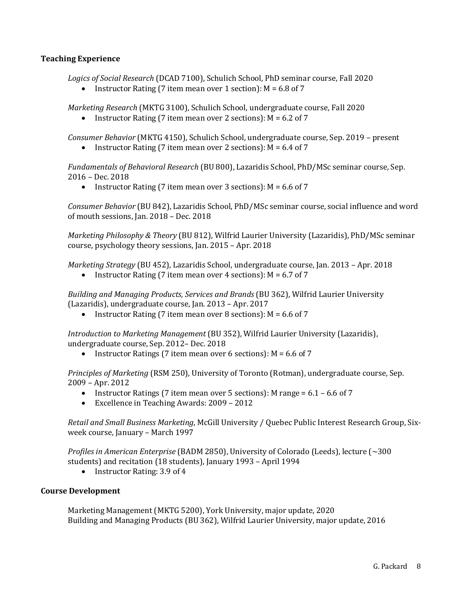# **Teaching Experience**

Logics of Social Research (DCAD 7100), Schulich School, PhD seminar course, Fall 2020

• Instructor Rating (7 item mean over 1 section):  $M = 6.8$  of 7

*Marketing Research* (MKTG 3100), Schulich School, undergraduate course, Fall 2020

• Instructor Rating (7 item mean over 2 sections):  $M = 6.2$  of 7

*Consumer Behavior* (MKTG 4150), Schulich School, undergraduate course, Sep. 2019 – present

• Instructor Rating (7 item mean over 2 sections):  $M = 6.4$  of 7

Fundamentals of Behavioral Research (BU 800), Lazaridis School, PhD/MSc seminar course, Sep. 2016 – Dec. 2018

• Instructor Rating (7 item mean over 3 sections):  $M = 6.6$  of 7

*Consumer Behavior* (BU 842), Lazaridis School, PhD/MSc seminar course, social influence and word of mouth sessions, Jan.  $2018$  – Dec.  $2018$ 

*Marketing Philosophy & Theory* (BU 812), Wilfrid Laurier University (Lazaridis), PhD/MSc seminar course, psychology theory sessions, Jan. 2015 - Apr. 2018

*Marketing Strategy* (BU 452), Lazaridis School, undergraduate course, Jan. 2013 - Apr. 2018

• Instructor Rating (7 item mean over 4 sections):  $M = 6.7$  of 7

*Building and Managing Products, Services and Brands* (BU 362), Wilfrid Laurier University (Lazaridis), undergraduate course, Jan. 2013 – Apr. 2017

• Instructor Rating (7 item mean over 8 sections):  $M = 6.6$  of 7

*Introduction to Marketing Management* (BU 352), Wilfrid Laurier University (Lazaridis), undergraduate course, Sep. 2012- Dec. 2018

• Instructor Ratings (7 item mean over 6 sections):  $M = 6.6$  of 7

*Principles of Marketing* (RSM 250), University of Toronto (Rotman), undergraduate course, Sep. 2009 – Apr. 2012

- Instructor Ratings (7 item mean over 5 sections): M range =  $6.1 6.6$  of 7
- Excellence in Teaching Awards: 2009 2012

*Retail and Small Business Marketing*, McGill University / Quebec Public Interest Research Group, Sixweek course, January - March 1997

*Profiles in American Enterprise* (BADM 2850), University of Colorado (Leeds), lecture (~300 students) and recitation (18 students), January 1993 - April 1994

• Instructor Rating: 3.9 of 4

# **Course Development**

Marketing Management (MKTG 5200), York University, major update, 2020 Building and Managing Products (BU 362), Wilfrid Laurier University, major update, 2016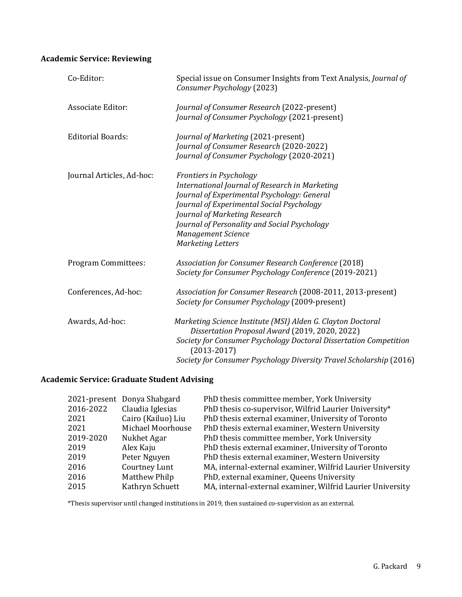# **Academic Service: Reviewing**

| Co-Editor:                | Special issue on Consumer Insights from Text Analysis, Journal of<br>Consumer Psychology (2023)                                                                                                                                                                                                          |  |
|---------------------------|----------------------------------------------------------------------------------------------------------------------------------------------------------------------------------------------------------------------------------------------------------------------------------------------------------|--|
| <b>Associate Editor:</b>  | Journal of Consumer Research (2022-present)<br>Journal of Consumer Psychology (2021-present)                                                                                                                                                                                                             |  |
| <b>Editorial Boards:</b>  | Journal of Marketing (2021-present)<br>Journal of Consumer Research (2020-2022)<br>Journal of Consumer Psychology (2020-2021)                                                                                                                                                                            |  |
| Journal Articles, Ad-hoc: | Frontiers in Psychology<br>International Journal of Research in Marketing<br>Journal of Experimental Psychology: General<br>Journal of Experimental Social Psychology<br>Journal of Marketing Research<br>Journal of Personality and Social Psychology<br><b>Management Science</b><br>Marketing Letters |  |
| Program Committees:       | <b>Association for Consumer Research Conference (2018)</b><br>Society for Consumer Psychology Conference (2019-2021)                                                                                                                                                                                     |  |
| Conferences, Ad-hoc:      | Association for Consumer Research (2008-2011, 2013-present)<br>Society for Consumer Psychology (2009-present)                                                                                                                                                                                            |  |
| Awards, Ad-hoc:           | Marketing Science Institute (MSI) Alden G. Clayton Doctoral<br>Dissertation Proposal Award (2019, 2020, 2022)<br>Society for Consumer Psychology Doctoral Dissertation Competition<br>$(2013 - 2017)$<br>Society for Consumer Psychology Diversity Travel Scholarship (2016)                             |  |

# **Academic Service: Graduate Student Advising**

|           | 2021-present Donya Shabgard | PhD thesis committee member, York University               |
|-----------|-----------------------------|------------------------------------------------------------|
| 2016-2022 | Claudia Iglesias            | PhD thesis co-supervisor, Wilfrid Laurier University*      |
| 2021      | Cairo (Kailuo) Liu          | PhD thesis external examiner, University of Toronto        |
| 2021      | Michael Moorhouse           | PhD thesis external examiner, Western University           |
| 2019-2020 | Nukhet Agar                 | PhD thesis committee member, York University               |
| 2019      | Alex Kaju                   | PhD thesis external examiner, University of Toronto        |
| 2019      | Peter Nguyen                | PhD thesis external examiner, Western University           |
| 2016      | Courtney Lunt               | MA, internal-external examiner, Wilfrid Laurier University |
| 2016      | <b>Matthew Philp</b>        | PhD, external examiner, Queens University                  |
| 2015      | Kathryn Schuett             | MA, internal-external examiner, Wilfrid Laurier University |

\*Thesis supervisor until changed institutions in 2019, then sustained co-supervision as an external.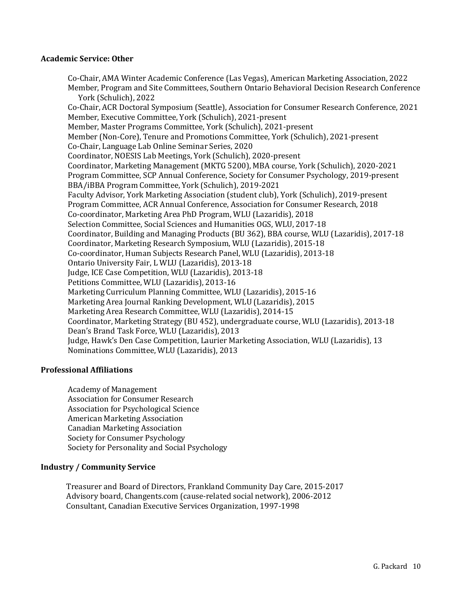#### **Academic Service: Other**

Co-Chair, AMA Winter Academic Conference (Las Vegas), American Marketing Association, 2022 Member, Program and Site Committees, Southern Ontario Behavioral Decision Research Conference York (Schulich), 2022 Co-Chair, ACR Doctoral Symposium (Seattle), Association for Consumer Research Conference, 2021 Member, Executive Committee, York (Schulich), 2021-present Member, Master Programs Committee, York (Schulich), 2021-present Member (Non-Core), Tenure and Promotions Committee, York (Schulich), 2021-present Co-Chair, Language Lab Online Seminar Series, 2020 Coordinator, NOESIS Lab Meetings, York (Schulich), 2020-present Coordinator, Marketing Management (MKTG 5200), MBA course, York (Schulich), 2020-2021 Program Committee, SCP Annual Conference, Society for Consumer Psychology, 2019-present BBA/iBBA Program Committee, York (Schulich), 2019-2021 Faculty Advisor, York Marketing Association (student club), York (Schulich), 2019-present Program Committee, ACR Annual Conference, Association for Consumer Research, 2018 Co-coordinator, Marketing Area PhD Program, WLU (Lazaridis), 2018 Selection Committee, Social Sciences and Humanities OGS, WLU, 2017-18 Coordinator, Building and Managing Products (BU 362), BBA course, WLU (Lazaridis), 2017-18 Coordinator, Marketing Research Symposium, WLU (Lazaridis), 2015-18 Co-coordinator, Human Subjects Research Panel, WLU (Lazaridis), 2013-18 Ontario University Fair, L WLU (Lazaridis), 2013-18 Judge, ICE Case Competition, WLU (Lazaridis), 2013-18 Petitions Committee, WLU (Lazaridis), 2013-16 Marketing Curriculum Planning Committee, WLU (Lazaridis), 2015-16 Marketing Area Journal Ranking Development, WLU (Lazaridis), 2015 Marketing Area Research Committee, WLU (Lazaridis), 2014-15 Coordinator, Marketing Strategy (BU 452), undergraduate course, WLU (Lazaridis), 2013-18 Dean's Brand Task Force, WLU (Lazaridis), 2013 Judge, Hawk's Den Case Competition, Laurier Marketing Association, WLU (Lazaridis), 13 Nominations Committee, WLU (Lazaridis), 2013

# **Professional Affiliations**

Academy of Management Association for Consumer Research Association for Psychological Science American Marketing Association Canadian Marketing Association Society for Consumer Psychology Society for Personality and Social Psychology

# **Industry / Community Service**

Treasurer and Board of Directors, Frankland Community Day Care, 2015-2017 Advisory board, Changents.com (cause-related social network), 2006-2012 Consultant, Canadian Executive Services Organization, 1997-1998